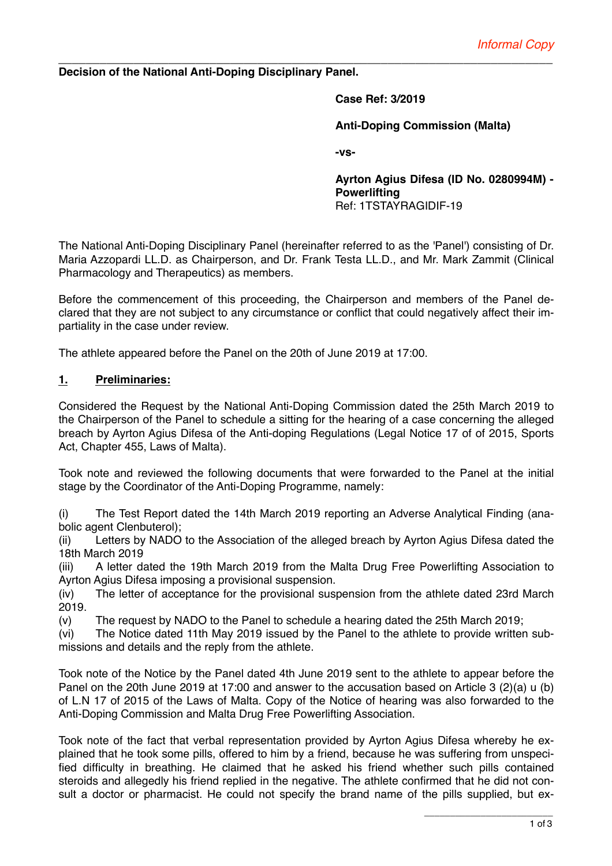#### *\_\_\_\_\_\_\_\_\_\_\_\_\_\_\_\_\_\_\_\_\_\_\_\_\_\_\_\_\_\_\_\_\_\_\_\_\_\_\_\_\_\_\_\_\_\_\_\_\_\_\_\_\_\_\_\_\_\_\_\_\_\_\_\_\_\_\_\_\_\_\_\_* **Decision of the National Anti-Doping Disciplinary Panel.**

#### **Case Ref: 3/2019**

**Anti-Doping Commission (Malta)**

**-vs-**

**Ayrton Agius Difesa (ID No. 0280994M) - Powerlifting** Ref: 1TSTAYRAGIDIF-19

The National Anti-Doping Disciplinary Panel (hereinafter referred to as the 'Panel') consisting of Dr. Maria Azzopardi LL.D. as Chairperson, and Dr. Frank Testa LL.D., and Mr. Mark Zammit (Clinical Pharmacology and Therapeutics) as members.

Before the commencement of this proceeding, the Chairperson and members of the Panel declared that they are not subject to any circumstance or conflict that could negatively affect their impartiality in the case under review.

The athlete appeared before the Panel on the 20th of June 2019 at 17:00.

#### **1. Preliminaries:**

Considered the Request by the National Anti-Doping Commission dated the 25th March 2019 to the Chairperson of the Panel to schedule a sitting for the hearing of a case concerning the alleged breach by Ayrton Agius Difesa of the Anti-doping Regulations (Legal Notice 17 of of 2015, Sports Act, Chapter 455, Laws of Malta).

Took note and reviewed the following documents that were forwarded to the Panel at the initial stage by the Coordinator of the Anti-Doping Programme, namely:

(i) The Test Report dated the 14th March 2019 reporting an Adverse Analytical Finding (anabolic agent Clenbuterol);

(ii) Letters by NADO to the Association of the alleged breach by Ayrton Agius Difesa dated the 18th March 2019

(iii) A letter dated the 19th March 2019 from the Malta Drug Free Powerlifting Association to Ayrton Agius Difesa imposing a provisional suspension.

(iv) The letter of acceptance for the provisional suspension from the athlete dated 23rd March 2019.

(v) The request by NADO to the Panel to schedule a hearing dated the 25th March 2019;

(vi) The Notice dated 11th May 2019 issued by the Panel to the athlete to provide written submissions and details and the reply from the athlete.

Took note of the Notice by the Panel dated 4th June 2019 sent to the athlete to appear before the Panel on the 20th June 2019 at 17:00 and answer to the accusation based on Article 3 (2)(a) u (b) of L.N 17 of 2015 of the Laws of Malta. Copy of the Notice of hearing was also forwarded to the Anti-Doping Commission and Malta Drug Free Powerlifting Association.

Took note of the fact that verbal representation provided by Ayrton Agius Difesa whereby he explained that he took some pills, offered to him by a friend, because he was suffering from unspecified difficulty in breathing. He claimed that he asked his friend whether such pills contained steroids and allegedly his friend replied in the negative. The athlete confirmed that he did not consult a doctor or pharmacist. He could not specify the brand name of the pills supplied, but ex-

\_\_\_\_\_\_\_\_\_\_\_\_\_\_\_\_\_\_\_\_\_\_\_\_\_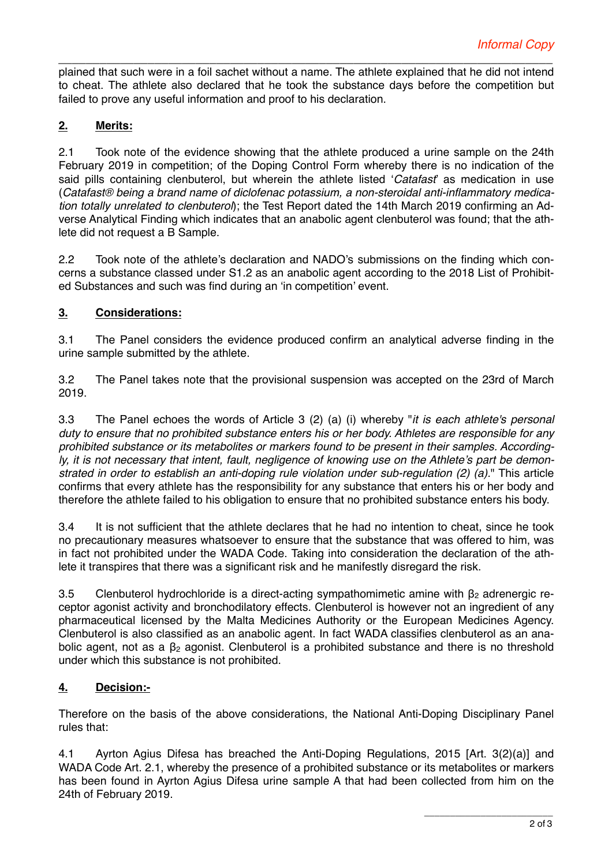*\_\_\_\_\_\_\_\_\_\_\_\_\_\_\_\_\_\_\_\_\_\_\_\_\_\_\_\_\_\_\_\_\_\_\_\_\_\_\_\_\_\_\_\_\_\_\_\_\_\_\_\_\_\_\_\_\_\_\_\_\_\_\_\_\_\_\_\_\_\_\_\_* plained that such were in a foil sachet without a name. The athlete explained that he did not intend to cheat. The athlete also declared that he took the substance days before the competition but failed to prove any useful information and proof to his declaration.

# **2. Merits:**

2.1 Took note of the evidence showing that the athlete produced a urine sample on the 24th February 2019 in competition; of the Doping Control Form whereby there is no indication of the said pills containing clenbuterol, but wherein the athlete listed '*Catafast*' as medication in use (*Catafast® being a brand name of diclofenac potassium, a non-steroidal anti-inflammatory medication totally unrelated to clenbuterol*); the Test Report dated the 14th March 2019 confirming an Adverse Analytical Finding which indicates that an anabolic agent clenbuterol was found; that the athlete did not request a B Sample.

2.2 Took note of the athlete's declaration and NADO's submissions on the finding which concerns a substance classed under S1.2 as an anabolic agent according to the 2018 List of Prohibited Substances and such was find during an 'in competition' event.

## **3. Considerations:**

3.1 The Panel considers the evidence produced confirm an analytical adverse finding in the urine sample submitted by the athlete.

3.2 The Panel takes note that the provisional suspension was accepted on the 23rd of March 2019.

3.3 The Panel echoes the words of Article 3 (2) (a) (i) whereby "*it is each athlete's personal duty to ensure that no prohibited substance enters his or her body. Athletes are responsible for any prohibited substance or its metabolites or markers found to be present in their samples. Accordingly, it is not necessary that intent, fault, negligence of knowing use on the Athlete's part be demonstrated in order to establish an anti-doping rule violation under sub-regulation (2) (a).*" This article confirms that every athlete has the responsibility for any substance that enters his or her body and therefore the athlete failed to his obligation to ensure that no prohibited substance enters his body.

3.4 It is not sufficient that the athlete declares that he had no intention to cheat, since he took no precautionary measures whatsoever to ensure that the substance that was offered to him, was in fact not prohibited under the WADA Code. Taking into consideration the declaration of the athlete it transpires that there was a significant risk and he manifestly disregard the risk.

3.5 Clenbuterol hydrochloride is a direct-acting sympathomimetic amine with  $\beta_2$  adrenergic receptor agonist activity and bronchodilatory effects. Clenbuterol is however not an ingredient of any pharmaceutical licensed by the Malta Medicines Authority or the European Medicines Agency. Clenbuterol is also classified as an anabolic agent. In fact WADA classifies clenbuterol as an anabolic agent, not as a β<sub>2</sub> agonist. Clenbuterol is a prohibited substance and there is no threshold under which this substance is not prohibited.

## **4. Decision:-**

Therefore on the basis of the above considerations, the National Anti-Doping Disciplinary Panel rules that:

4.1 Ayrton Agius Difesa has breached the Anti-Doping Regulations, 2015 [Art. 3(2)(a)] and WADA Code Art. 2.1, whereby the presence of a prohibited substance or its metabolites or markers has been found in Ayrton Agius Difesa urine sample A that had been collected from him on the 24th of February 2019.

\_\_\_\_\_\_\_\_\_\_\_\_\_\_\_\_\_\_\_\_\_\_\_\_\_